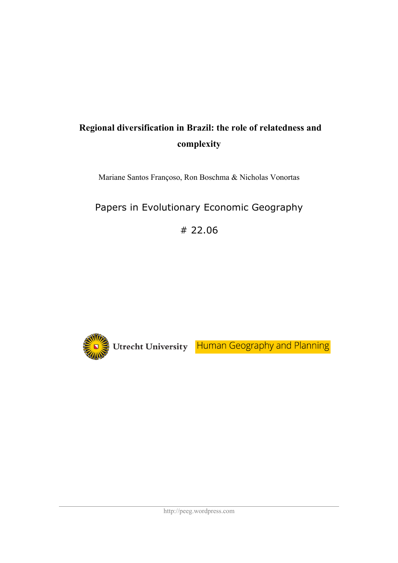# **Regional diversification in Brazil: the role of relatedness and complexity**

Mariane Santos Françoso, Ron Boschma & Nicholas Vonortas

# Papers in Evolutionary Economic Geography

# 22.06

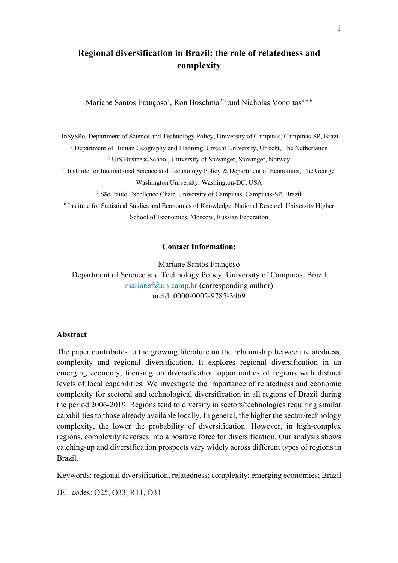# **Regional diversification in Brazil: the role of relatedness and complexity**

Mariane Santos Françoso<sup>1</sup>, Ron Boschma<sup>2,3</sup> and Nicholas Vonortas<sup>4,5,6</sup>

<sup>1</sup> InSySPo, Department of Science and Technology Policy, University of Campinas, Campinas-SP, Brazil ² Department of Human Geography and Planning, Utrecht University, Utrecht, The Netherlands

<sup>3</sup> UiS Business School, University of Stavanger, Stavanger, Norway

<sup>4</sup> Institute for International Science and Technology Policy & Department of Economics, The George Washington University, Washington-DC, USA

<sup>5</sup> São Paulo Excellence Chair, University of Campinas, Campinas-SP, Brazil

<sup>6</sup> Institute for Statistical Studies and Economics of Knowledge, National Research University Higher School of Economics, Moscow, Russian Federation

# **Contact Information:**

Mariane Santos Françoso Department of Science and Technology Policy, University of Campinas, Brazil marianef $@$ unicamp.br (corresponding author) orcid: 0000-0002-9785-3469

#### **Abstract**

The paper contributes to the growing literature on the relationship between relatedness, complexity and regional diversification. It explores regional diversification in an emerging economy, focusing on diversification opportunities of regions with distinct levels of local capabilities. We investigate the importance of relatedness and economic complexity for sectoral and technological diversification in all regions of Brazil during the period 2006-2019. Regions tend to diversify in sectors/technologies requiring similar capabilities to those already available locally. In general, the higher the sector/technology complexity, the lower the probability of diversification. However, in high-complex regions, complexity reverses into a positive force for diversification. Our analysis shows catching-up and diversification prospects vary widely across different types of regions in Brazil.

Keywords: regional diversification; relatedness; complexity; emerging economies; Brazil

JEL codes: O25, O33, R11, O31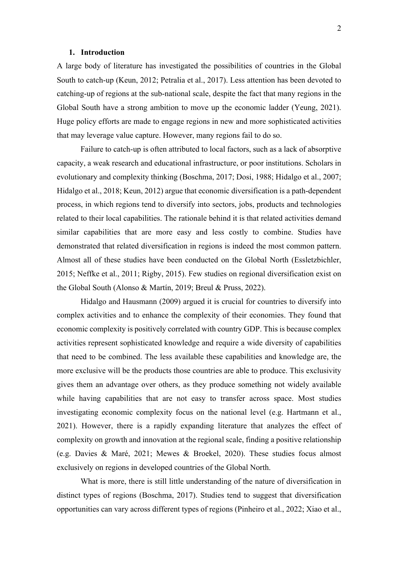#### **1. Introduction**

A large body of literature has investigated the possibilities of countries in the Global South to catch-up (Keun, 2012; Petralia et al., 2017). Less attention has been devoted to catching-up of regions at the sub-national scale, despite the fact that many regions in the Global South have a strong ambition to move up the economic ladder (Yeung, 2021). Huge policy efforts are made to engage regions in new and more sophisticated activities that may leverage value capture. However, many regions fail to do so.

Failure to catch-up is often attributed to local factors, such as a lack of absorptive capacity, a weak research and educational infrastructure, or poor institutions. Scholars in evolutionary and complexity thinking (Boschma, 2017; Dosi, 1988; Hidalgo et al., 2007; Hidalgo et al., 2018; Keun, 2012) argue that economic diversification is a path-dependent process, in which regions tend to diversify into sectors, jobs, products and technologies related to their local capabilities. The rationale behind it is that related activities demand similar capabilities that are more easy and less costly to combine. Studies have demonstrated that related diversification in regions is indeed the most common pattern. Almost all of these studies have been conducted on the Global North (Essletzbichler, 2015; Neffke et al., 2011; Rigby, 2015). Few studies on regional diversification exist on the Global South (Alonso & Martín, 2019; Breul & Pruss, 2022).

Hidalgo and Hausmann (2009) argued it is crucial for countries to diversify into complex activities and to enhance the complexity of their economies. They found that economic complexity is positively correlated with country GDP. This is because complex activities represent sophisticated knowledge and require a wide diversity of capabilities that need to be combined. The less available these capabilities and knowledge are, the more exclusive will be the products those countries are able to produce. This exclusivity gives them an advantage over others, as they produce something not widely available while having capabilities that are not easy to transfer across space. Most studies investigating economic complexity focus on the national level (e.g. Hartmann et al., 2021). However, there is a rapidly expanding literature that analyzes the effect of complexity on growth and innovation at the regional scale, finding a positive relationship (e.g. Davies & Maré, 2021; Mewes & Broekel, 2020). These studies focus almost exclusively on regions in developed countries of the Global North.

What is more, there is still little understanding of the nature of diversification in distinct types of regions (Boschma, 2017). Studies tend to suggest that diversification opportunities can vary across different types of regions (Pinheiro et al., 2022; Xiao et al.,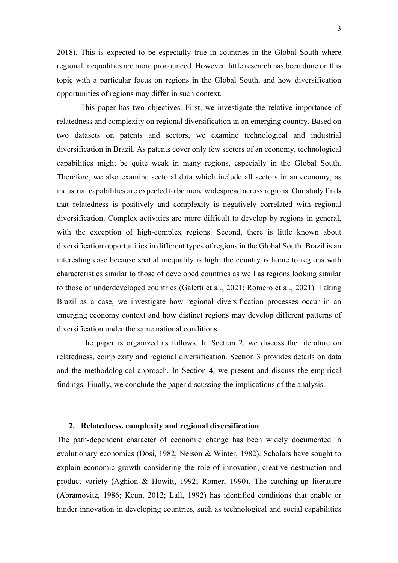2018). This is expected to be especially true in countries in the Global South where regional inequalities are more pronounced. However, little research has been done on this topic with a particular focus on regions in the Global South, and how diversification opportunities of regions may differ in such context.

This paper has two objectives. First, we investigate the relative importance of relatedness and complexity on regional diversification in an emerging country. Based on two datasets on patents and sectors, we examine technological and industrial diversification in Brazil. As patents cover only few sectors of an economy, technological capabilities might be quite weak in many regions, especially in the Global South. Therefore, we also examine sectoral data which include all sectors in an economy, as industrial capabilities are expected to be more widespread across regions. Our study finds that relatedness is positively and complexity is negatively correlated with regional diversification. Complex activities are more difficult to develop by regions in general, with the exception of high-complex regions. Second, there is little known about diversification opportunities in different types of regions in the Global South. Brazil is an interesting case because spatial inequality is high: the country is home to regions with characteristics similar to those of developed countries as well as regions looking similar to those of underdeveloped countries (Galetti et al., 2021; Romero et al., 2021). Taking Brazil as a case, we investigate how regional diversification processes occur in an emerging economy context and how distinct regions may develop different patterns of diversification under the same national conditions.

The paper is organized as follows. In Section 2, we discuss the literature on relatedness, complexity and regional diversification. Section 3 provides details on data and the methodological approach. In Section 4, we present and discuss the empirical findings. Finally, we conclude the paper discussing the implications of the analysis.

#### **2. Relatedness, complexity and regional diversification**

The path-dependent character of economic change has been widely documented in evolutionary economics (Dosi, 1982; Nelson & Winter, 1982). Scholars have sought to explain economic growth considering the role of innovation, creative destruction and product variety (Aghion & Howitt, 1992; Romer, 1990). The catching-up literature (Abramovitz, 1986; Keun, 2012; Lall, 1992) has identified conditions that enable or hinder innovation in developing countries, such as technological and social capabilities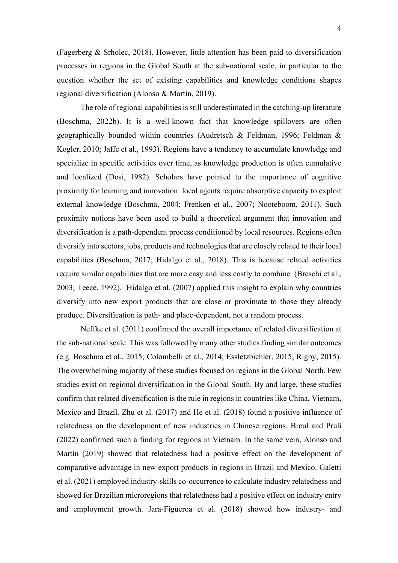(Fagerberg & Srholec, 2018). However, little attention has been paid to diversification processes in regions in the Global South at the sub-national scale, in particular to the question whether the set of existing capabilities and knowledge conditions shapes regional diversification (Alonso & Martín, 2019).

The role of regional capabilities is still underestimated in the catching-up literature (Boschma, 2022b). It is a well-known fact that knowledge spillovers are often geographically bounded within countries (Audretsch & Feldman, 1996; Feldman & Kogler, 2010; Jaffe et al., 1993). Regions have a tendency to accumulate knowledge and specialize in specific activities over time, as knowledge production is often cumulative and localized (Dosi, 1982). Scholars have pointed to the importance of cognitive proximity for learning and innovation: local agents require absorptive capacity to exploit external knowledge (Boschma, 2004; Frenken et al., 2007; Nooteboom, 2011). Such proximity notions have been used to build a theoretical argument that innovation and diversification is a path-dependent process conditioned by local resources. Regions often diversify into sectors, jobs, products and technologies that are closely related to their local capabilities (Boschma, 2017; Hidalgo et al., 2018). This is because related activities require similar capabilities that are more easy and less costly to combine (Breschi et al., 2003; Teece, 1992). Hidalgo et al. (2007) applied this insight to explain why countries diversify into new export products that are close or proximate to those they already produce. Diversification is path- and place-dependent, not a random process.

Neffke et al. (2011) confirmed the overall importance of related diversification at the sub-national scale. This was followed by many other studies finding similar outcomes (e.g. Boschma et al., 2015; Colombelli et al., 2014; Essletzbichler, 2015; Rigby, 2015). The overwhelming majority of these studies focused on regions in the Global North. Few studies exist on regional diversification in the Global South. By and large, these studies confirm that related diversification is the rule in regions in countries like China, Vietnam, Mexico and Brazil. Zhu et al. (2017) and He et al. (2018) found a positive influence of relatedness on the development of new industries in Chinese regions. Breul and Pruß (2022) confirmed such a finding for regions in Vietnam. In the same vein, Alonso and Martín (2019) showed that relatedness had a positive effect on the development of comparative advantage in new export products in regions in Brazil and Mexico. Galetti et al. (2021) employed industry-skills co-occurrence to calculate industry relatedness and showed for Brazilian microregions that relatedness had a positive effect on industry entry and employment growth. Jara-Figueroa et al. (2018) showed how industry- and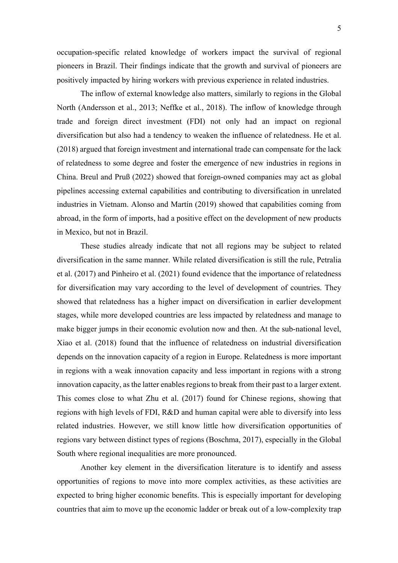occupation-specific related knowledge of workers impact the survival of regional pioneers in Brazil. Their findings indicate that the growth and survival of pioneers are positively impacted by hiring workers with previous experience in related industries.

The inflow of external knowledge also matters, similarly to regions in the Global North (Andersson et al., 2013; Neffke et al., 2018). The inflow of knowledge through trade and foreign direct investment (FDI) not only had an impact on regional diversification but also had a tendency to weaken the influence of relatedness. He et al. (2018) argued that foreign investment and international trade can compensate for the lack of relatedness to some degree and foster the emergence of new industries in regions in China. Breul and Pruß (2022) showed that foreign-owned companies may act as global pipelines accessing external capabilities and contributing to diversification in unrelated industries in Vietnam. Alonso and Martín (2019) showed that capabilities coming from abroad, in the form of imports, had a positive effect on the development of new products in Mexico, but not in Brazil.

These studies already indicate that not all regions may be subject to related diversification in the same manner. While related diversification is still the rule, Petralia et al. (2017) and Pinheiro et al. (2021) found evidence that the importance of relatedness for diversification may vary according to the level of development of countries. They showed that relatedness has a higher impact on diversification in earlier development stages, while more developed countries are less impacted by relatedness and manage to make bigger jumps in their economic evolution now and then. At the sub-national level, Xiao et al. (2018) found that the influence of relatedness on industrial diversification depends on the innovation capacity of a region in Europe. Relatedness is more important in regions with a weak innovation capacity and less important in regions with a strong innovation capacity, as the latter enables regions to break from their past to a larger extent. This comes close to what Zhu et al. (2017) found for Chinese regions, showing that regions with high levels of FDI, R&D and human capital were able to diversify into less related industries. However, we still know little how diversification opportunities of regions vary between distinct types of regions (Boschma, 2017), especially in the Global South where regional inequalities are more pronounced.

Another key element in the diversification literature is to identify and assess opportunities of regions to move into more complex activities, as these activities are expected to bring higher economic benefits. This is especially important for developing countries that aim to move up the economic ladder or break out of a low-complexity trap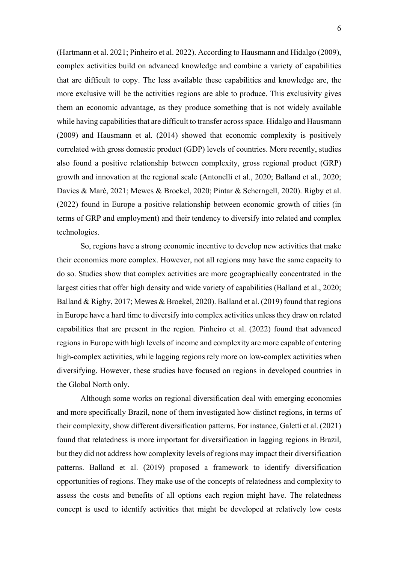(Hartmann et al. 2021; Pinheiro et al. 2022). According to Hausmann and Hidalgo (2009), complex activities build on advanced knowledge and combine a variety of capabilities that are difficult to copy. The less available these capabilities and knowledge are, the more exclusive will be the activities regions are able to produce. This exclusivity gives them an economic advantage, as they produce something that is not widely available while having capabilities that are difficult to transfer across space. Hidalgo and Hausmann (2009) and Hausmann et al. (2014) showed that economic complexity is positively correlated with gross domestic product (GDP) levels of countries. More recently, studies also found a positive relationship between complexity, gross regional product (GRP) growth and innovation at the regional scale (Antonelli et al., 2020; Balland et al., 2020; Davies & Maré, 2021; Mewes & Broekel, 2020; Pintar & Scherngell, 2020). Rigby et al. (2022) found in Europe a positive relationship between economic growth of cities (in terms of GRP and employment) and their tendency to diversify into related and complex technologies.

So, regions have a strong economic incentive to develop new activities that make their economies more complex. However, not all regions may have the same capacity to do so. Studies show that complex activities are more geographically concentrated in the largest cities that offer high density and wide variety of capabilities (Balland et al., 2020; Balland & Rigby, 2017; Mewes & Broekel, 2020). Balland et al. (2019) found that regions in Europe have a hard time to diversify into complex activities unless they draw on related capabilities that are present in the region. Pinheiro et al. (2022) found that advanced regions in Europe with high levels of income and complexity are more capable of entering high-complex activities, while lagging regions rely more on low-complex activities when diversifying. However, these studies have focused on regions in developed countries in the Global North only.

Although some works on regional diversification deal with emerging economies and more specifically Brazil, none of them investigated how distinct regions, in terms of their complexity, show different diversification patterns. For instance, Galetti et al. (2021) found that relatedness is more important for diversification in lagging regions in Brazil, but they did not address how complexity levels of regions may impact their diversification patterns. Balland et al. (2019) proposed a framework to identify diversification opportunities of regions. They make use of the concepts of relatedness and complexity to assess the costs and benefits of all options each region might have. The relatedness concept is used to identify activities that might be developed at relatively low costs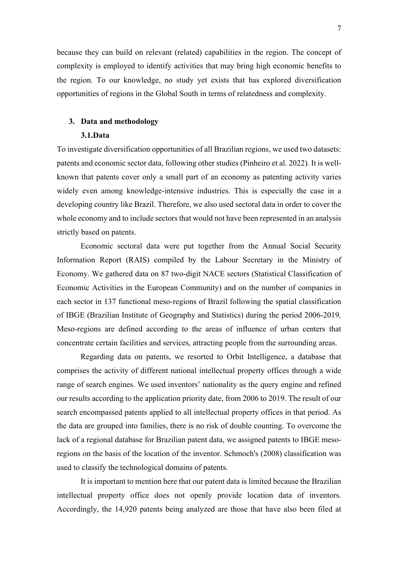because they can build on relevant (related) capabilities in the region. The concept of complexity is employed to identify activities that may bring high economic benefits to the region. To our knowledge, no study yet exists that has explored diversification opportunities of regions in the Global South in terms of relatedness and complexity.

# **3. Data and methodology**

## **3.1.Data**

To investigate diversification opportunities of all Brazilian regions, we used two datasets: patents and economic sector data, following other studies (Pinheiro et al. 2022). It is wellknown that patents cover only a small part of an economy as patenting activity varies widely even among knowledge-intensive industries. This is especially the case in a developing country like Brazil. Therefore, we also used sectoral data in order to cover the whole economy and to include sectors that would not have been represented in an analysis strictly based on patents.

Economic sectoral data were put together from the Annual Social Security Information Report (RAIS) compiled by the Labour Secretary in the Ministry of Economy. We gathered data on 87 two-digit NACE sectors (Statistical Classification of Economic Activities in the European Community) and on the number of companies in each sector in 137 functional meso-regions of Brazil following the spatial classification of IBGE (Brazilian Institute of Geography and Statistics) during the period 2006-2019. Meso-regions are defined according to the areas of influence of urban centers that concentrate certain facilities and services, attracting people from the surrounding areas.

Regarding data on patents, we resorted to Orbit Intelligence, a database that comprises the activity of different national intellectual property offices through a wide range of search engines. We used inventors' nationality as the query engine and refined our results according to the application priority date, from 2006 to 2019. The result of our search encompassed patents applied to all intellectual property offices in that period. As the data are grouped into families, there is no risk of double counting. To overcome the lack of a regional database for Brazilian patent data, we assigned patents to IBGE mesoregions on the basis of the location of the inventor. Schmoch's (2008) classification was used to classify the technological domains of patents.

It is important to mention here that our patent data is limited because the Brazilian intellectual property office does not openly provide location data of inventors. Accordingly, the 14,920 patents being analyzed are those that have also been filed at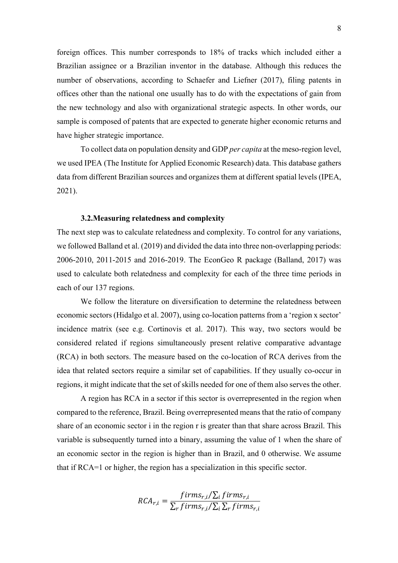foreign offices. This number corresponds to 18% of tracks which included either a Brazilian assignee or a Brazilian inventor in the database. Although this reduces the number of observations, according to Schaefer and Liefner (2017), filing patents in offices other than the national one usually has to do with the expectations of gain from the new technology and also with organizational strategic aspects. In other words, our sample is composed of patents that are expected to generate higher economic returns and have higher strategic importance.

To collect data on population density and GDP *per capita* at the meso-region level, we used IPEA (The Institute for Applied Economic Research) data. This database gathers data from different Brazilian sources and organizes them at different spatial levels (IPEA, 2021).

#### **3.2.Measuring relatedness and complexity**

The next step was to calculate relatedness and complexity. To control for any variations, we followed Balland et al. (2019) and divided the data into three non-overlapping periods: 2006-2010, 2011-2015 and 2016-2019. The EconGeo R package (Balland, 2017) was used to calculate both relatedness and complexity for each of the three time periods in each of our 137 regions.

We follow the literature on diversification to determine the relatedness between economic sectors (Hidalgo et al. 2007), using co-location patterns from a 'region x sector' incidence matrix (see e.g. Cortinovis et al. 2017). This way, two sectors would be considered related if regions simultaneously present relative comparative advantage (RCA) in both sectors. The measure based on the co-location of RCA derives from the idea that related sectors require a similar set of capabilities. If they usually co-occur in regions, it might indicate that the set of skills needed for one of them also serves the other.

A region has RCA in a sector if this sector is overrepresented in the region when compared to the reference, Brazil. Being overrepresented means that the ratio of company share of an economic sector i in the region r is greater than that share across Brazil. This variable is subsequently turned into a binary, assuming the value of 1 when the share of an economic sector in the region is higher than in Brazil, and 0 otherwise. We assume that if RCA=1 or higher, the region has a specialization in this specific sector.

$$
RCA_{r,i} = \frac{firms_{r,i}/\sum_{i} firms_{r,i}}{\sum_{r} firms_{r,i}/\sum_{i} \sum_{r} firms_{r,i}}
$$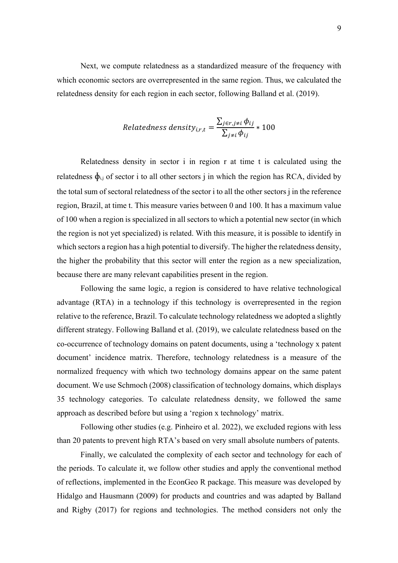Next, we compute relatedness as a standardized measure of the frequency with which economic sectors are overrepresented in the same region. Thus, we calculated the relatedness density for each region in each sector, following Balland et al. (2019).

$$
Relatedness density_{i,r,t} = \frac{\sum_{j \in r, j \neq i} \phi_{ij}}{\sum_{j \neq i} \phi_{ij}} * 100
$$

Relatedness density in sector i in region r at time t is calculated using the relatedness  $\phi_{i,j}$  of sector i to all other sectors j in which the region has RCA, divided by the total sum of sectoral relatedness of the sector i to all the other sectors j in the reference region, Brazil, at time t. This measure varies between 0 and 100. It has a maximum value of 100 when a region is specialized in all sectors to which a potential new sector (in which the region is not yet specialized) is related. With this measure, it is possible to identify in which sectors a region has a high potential to diversify. The higher the relatedness density, the higher the probability that this sector will enter the region as a new specialization, because there are many relevant capabilities present in the region.

Following the same logic, a region is considered to have relative technological advantage (RTA) in a technology if this technology is overrepresented in the region relative to the reference, Brazil. To calculate technology relatedness we adopted a slightly different strategy. Following Balland et al. (2019), we calculate relatedness based on the co-occurrence of technology domains on patent documents, using a 'technology x patent document' incidence matrix. Therefore, technology relatedness is a measure of the normalized frequency with which two technology domains appear on the same patent document. We use Schmoch (2008) classification of technology domains, which displays 35 technology categories. To calculate relatedness density, we followed the same approach as described before but using a 'region x technology' matrix.

Following other studies (e.g. Pinheiro et al. 2022), we excluded regions with less than 20 patents to prevent high RTA's based on very small absolute numbers of patents.

Finally, we calculated the complexity of each sector and technology for each of the periods. To calculate it, we follow other studies and apply the conventional method of reflections, implemented in the EconGeo R package. This measure was developed by Hidalgo and Hausmann (2009) for products and countries and was adapted by Balland and Rigby (2017) for regions and technologies. The method considers not only the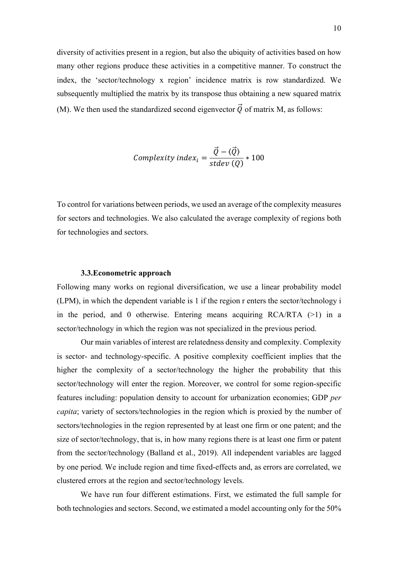diversity of activities present in a region, but also the ubiquity of activities based on how many other regions produce these activities in a competitive manner. To construct the index, the 'sector/technology x region' incidence matrix is row standardized. We subsequently multiplied the matrix by its transpose thus obtaining a new squared matrix (M). We then used the standardized second eigenvector  $\vec{O}$  of matrix M, as follows:

$$
Complexity index_i = \frac{\vec{Q} - \langle \vec{Q} \rangle}{stdev(Q)} * 100
$$

To control for variations between periods, we used an average of the complexity measures for sectors and technologies. We also calculated the average complexity of regions both for technologies and sectors.

#### **3.3.Econometric approach**

Following many works on regional diversification, we use a linear probability model (LPM), in which the dependent variable is 1 if the region r enters the sector/technology i in the period, and 0 otherwise. Entering means acquiring  $RCA/RTA$  (>1) in a sector/technology in which the region was not specialized in the previous period.

Our main variables of interest are relatedness density and complexity. Complexity is sector- and technology-specific. A positive complexity coefficient implies that the higher the complexity of a sector/technology the higher the probability that this sector/technology will enter the region. Moreover, we control for some region-specific features including: population density to account for urbanization economies; GDP *per capita*; variety of sectors/technologies in the region which is proxied by the number of sectors/technologies in the region represented by at least one firm or one patent; and the size of sector/technology, that is, in how many regions there is at least one firm or patent from the sector/technology (Balland et al., 2019). All independent variables are lagged by one period. We include region and time fixed-effects and, as errors are correlated, we clustered errors at the region and sector/technology levels.

We have run four different estimations. First, we estimated the full sample for both technologies and sectors. Second, we estimated a model accounting only for the 50%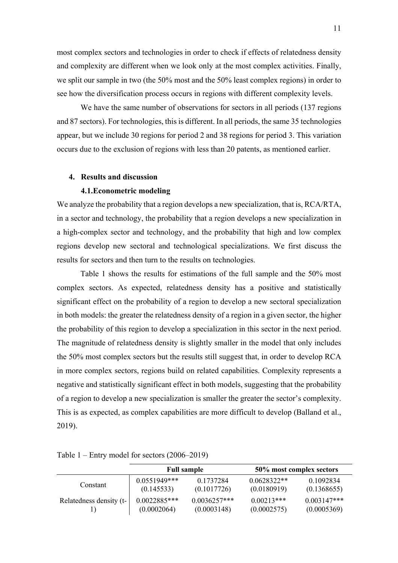most complex sectors and technologies in order to check if effects of relatedness density and complexity are different when we look only at the most complex activities. Finally, we split our sample in two (the 50% most and the 50% least complex regions) in order to see how the diversification process occurs in regions with different complexity levels.

We have the same number of observations for sectors in all periods (137 regions) and 87 sectors). For technologies, this is different. In all periods, the same 35 technologies appear, but we include 30 regions for period 2 and 38 regions for period 3. This variation occurs due to the exclusion of regions with less than 20 patents, as mentioned earlier.

## **4. Results and discussion**

#### **4.1.Econometric modeling**

We analyze the probability that a region develops a new specialization, that is, RCA/RTA, in a sector and technology, the probability that a region develops a new specialization in a high-complex sector and technology, and the probability that high and low complex regions develop new sectoral and technological specializations. We first discuss the results for sectors and then turn to the results on technologies.

Table 1 shows the results for estimations of the full sample and the 50% most complex sectors. As expected, relatedness density has a positive and statistically significant effect on the probability of a region to develop a new sectoral specialization in both models: the greater the relatedness density of a region in a given sector, the higher the probability of this region to develop a specialization in this sector in the next period. The magnitude of relatedness density is slightly smaller in the model that only includes the 50% most complex sectors but the results still suggest that, in order to develop RCA in more complex sectors, regions build on related capabilities. Complexity represents a negative and statistically significant effect in both models, suggesting that the probability of a region to develop a new specialization is smaller the greater the sector's complexity. This is as expected, as complex capabilities are more difficult to develop (Balland et al., 2019).

|                         |                | <b>Full sample</b> |               | 50% most complex sectors |
|-------------------------|----------------|--------------------|---------------|--------------------------|
| Constant                | $0.0551949***$ | 0.1737284          | $0.0628322**$ | 0.1092834                |
|                         | (0.145533)     | (0.1017726)        | (0.0180919)   | (0.1368655)              |
| Relatedness density (t- | $0.0022885***$ | $0.0036257***$     | $0.00213***$  | $0.003147***$            |
|                         | (0.0002064)    | (0.0003148)        | (0.0002575)   | (0.0005369)              |

Table 1 – Entry model for sectors (2006–2019)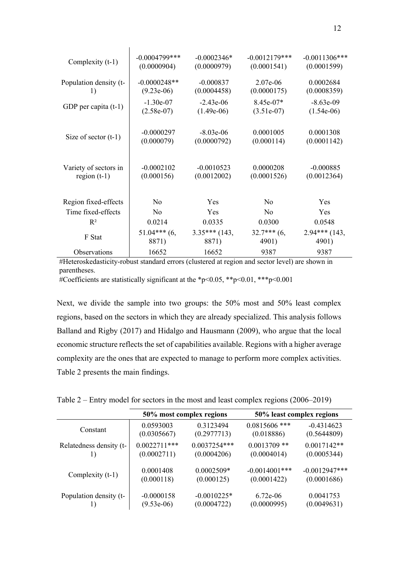| Complexity (t-1)       | $-0.0004799$ *** | $-0.0002346*$   | $-0.0012179***$ | $-0.0011306***$ |
|------------------------|------------------|-----------------|-----------------|-----------------|
|                        | (0.0000904)      | (0.0000979)     | (0.0001541)     | (0.0001599)     |
| Population density (t- | $-0.0000248**$   | $-0.000837$     | $2.07e-06$      | 0.0002684       |
| 1)                     | $(9.23e-06)$     | (0.0004458)     | (0.0000175)     | (0.0008359)     |
| GDP per capita $(t-1)$ | $-1.30e-07$      | $-2.43e-06$     | $8.45e-07*$     | $-8.63e-09$     |
|                        | $(2.58e-07)$     | $(1.49e-06)$    | $(3.51e-07)$    | $(1.54e-06)$    |
| Size of sector $(t-1)$ | $-0.0000297$     | $-8.03e-06$     | 0.0001005       | 0.0001308       |
|                        | (0.000079)       | (0.0000792)     | (0.000114)      | (0.0001142)     |
| Variety of sectors in  | $-0.0002102$     | $-0.0010523$    | 0.0000208       | $-0.000885$     |
| region $(t-1)$         | (0.000156)       | (0.0012002)     | (0.0001526)     | (0.0012364)     |
| Region fixed-effects   | N <sub>o</sub>   | Yes             | N <sub>0</sub>  | Yes             |
| Time fixed-effects     | N <sub>0</sub>   | Yes             | N <sub>0</sub>  | Yes             |
| $R^2$                  | 0.0214           | 0.0335          | 0.0300          | 0.0548          |
| F Stat                 | $51.04***$ (6,   | $3.35***$ (143, | $32.7***$ (6,   | $2.94***$ (143, |
|                        | 8871)            | 8871)           | 4901)           | 4901)           |
| Observations           | 16652            | 16652           | 9387            | 9387            |

#Heteroskedasticity-robust standard errors (clustered at region and sector level) are shown in parentheses.

#Coefficients are statistically significant at the \*p<0.05, \*\*p<0.01, \*\*\*p<0.001

Next, we divide the sample into two groups: the 50% most and 50% least complex regions, based on the sectors in which they are already specialized. This analysis follows Balland and Rigby (2017) and Hidalgo and Hausmann (2009), who argue that the local economic structure reflects the set of capabilities available. Regions with a higher average complexity are the ones that are expected to manage to perform more complex activities. Table 2 presents the main findings.

Table 2 – Entry model for sectors in the most and least complex regions (2006–2019)

|                         |                | 50% most complex regions | 50% least complex regions |                 |  |
|-------------------------|----------------|--------------------------|---------------------------|-----------------|--|
| Constant                | 0.0593003      | 0.3123494                | $0.0815606$ ***           | $-0.4314623$    |  |
|                         | (0.0305667)    | (0.2977713)              | (0.018886)                | (0.5644809)     |  |
| Relatedness density (t- | $0.0022711***$ | $0.0037254***$           | $0.0013709$ **            | $0.0017142**$   |  |
|                         | (0.0002711)    | (0.0004206)              | (0.0004014)               | (0.0005344)     |  |
| Complexity (t-1)        | 0.0001408      | $0.0002509*$             | $-0.0014001$ ***          | $-0.0012947***$ |  |
|                         | (0.000118)     | (0.000125)               | (0.0001422)               | (0.0001686)     |  |
| Population density (t-  | $-0.0000158$   | $-0.0010225*$            | $6.72e-06$                | 0.0041753       |  |
|                         | $(9.53e-06)$   | (0.0004722)              | (0.0000995)               | (0.0049631)     |  |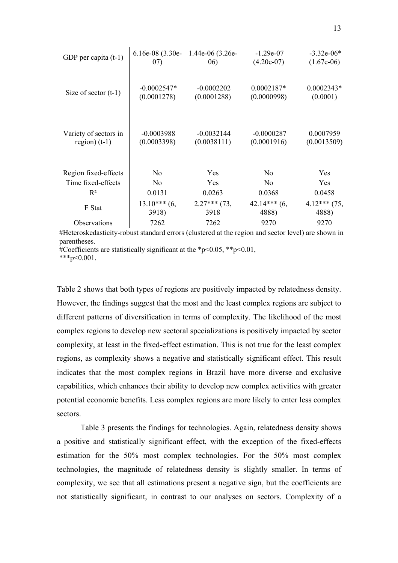| GDP per capita $(t-1)$ | 07)            | 6.16e-08 (3.30e- 1.44e-06 (3.26e-<br>06) | $-1.29e-07$<br>$(4.20e-07)$ | $-3.32e-06*$<br>$(1.67e-06)$ |
|------------------------|----------------|------------------------------------------|-----------------------------|------------------------------|
| Size of sector $(t-1)$ | $-0.0002547*$  | $-0.0002202$                             | $0.0002187*$                | $0.0002343*$                 |
|                        | (0.0001278)    | (0.0001288)                              | (0.0000998)                 | (0.0001)                     |
| Variety of sectors in  | $-0.0003988$   | $-0.0032144$                             | $-0.0000287$                | 0.0007959                    |
| region) $(t-1)$        | (0.0003398)    | (0.0038111)                              | (0.0001916)                 | (0.0013509)                  |
| Region fixed-effects   | N <sub>o</sub> | Yes                                      | N <sub>0</sub>              | <b>Yes</b>                   |
| Time fixed-effects     | N <sub>0</sub> | <b>Yes</b>                               | N <sub>o</sub>              | <b>Yes</b>                   |
| $R^2$                  | 0.0131         | 0.0263                                   | 0.0368                      | 0.0458                       |
| F Stat                 | $13.10***$ (6, | $2.27***$ (73,                           | $42.14***$ (6,              | $4.12***$ (75,               |
|                        | 3918)          | 3918                                     | 4888)                       | 4888)                        |
| Observations           | 7262           | 7262                                     | 9270                        | 9270                         |

#Heteroskedasticity-robust standard errors (clustered at the region and sector level) are shown in parentheses.

#Coefficients are statistically significant at the  $\frac{1}{2}p \leq 0.05$ ,  $\frac{1}{2}p \leq 0.01$ ,

 $***p<0.001$ .

Table 2 shows that both types of regions are positively impacted by relatedness density. However, the findings suggest that the most and the least complex regions are subject to different patterns of diversification in terms of complexity. The likelihood of the most complex regions to develop new sectoral specializations is positively impacted by sector complexity, at least in the fixed-effect estimation. This is not true for the least complex regions, as complexity shows a negative and statistically significant effect. This result indicates that the most complex regions in Brazil have more diverse and exclusive capabilities, which enhances their ability to develop new complex activities with greater potential economic benefits. Less complex regions are more likely to enter less complex sectors.

Table 3 presents the findings for technologies. Again, relatedness density shows a positive and statistically significant effect, with the exception of the fixed-effects estimation for the 50% most complex technologies. For the 50% most complex technologies, the magnitude of relatedness density is slightly smaller. In terms of complexity, we see that all estimations present a negative sign, but the coefficients are not statistically significant, in contrast to our analyses on sectors. Complexity of a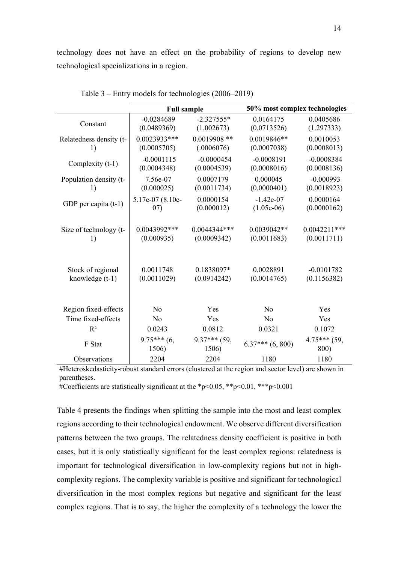technology does not have an effect on the probability of regions to develop new technological specializations in a region.

|                         | <b>Full sample</b>     |                         | 50% most complex technologies |                        |  |
|-------------------------|------------------------|-------------------------|-------------------------------|------------------------|--|
| Constant                | $-0.0284689$           | $-2.327555*$            | 0.0164175                     | 0.0405686              |  |
|                         | (0.0489369)            | (1.002673)              | (0.0713526)                   | (1.297333)             |  |
| Relatedness density (t- | $0.0023933***$         | $0.0019908$ **          | $0.0019846**$                 | 0.0010053              |  |
| 1)                      | (0.0005705)            | (.0006076)              | (0.0007038)                   | (0.0008013)            |  |
| Complexity (t-1)        | $-0.0001115$           | $-0.0000454$            | $-0.0008191$                  | $-0.0008384$           |  |
|                         | (0.0004348)            | (0.0004539)             | (0.0008016)                   | (0.0008136)            |  |
| Population density (t-  | 7.56e-07               | 0.0007179               | 0.000045                      | $-0.000993$            |  |
| 1)                      | (0.000025)             | (0.0011734)             | (0.0000401)                   | (0.0018923)            |  |
| GDP per capita (t-1)    | 5.17e-07 (8.10e-       | 0.0000154               | $-1.42e-07$                   | 0.0000164              |  |
|                         | (07)                   | (0.000012)              | $(1.05e-06)$                  | (0.0000162)            |  |
| Size of technology (t-  | $0.0043992***$         | $0.0044344***$          | $0.0039042**$                 | $0.0042211***$         |  |
| 1)                      | (0.000935)             | (0.0009342)             | (0.0011683)                   | (0.0011711)            |  |
| Stock of regional       | 0.0011748              | 0.1838097*              | 0.0028891                     | $-0.0101782$           |  |
| knowledge (t-1)         | (0.0011029)            | (0.0914242)             | (0.0014765)                   | (0.1156382)            |  |
| Region fixed-effects    | No                     | Yes                     | No                            | Yes                    |  |
| Time fixed-effects      | No                     | Yes                     | No                            | Yes                    |  |
| $R^2$                   | 0.0243                 | 0.0812                  | 0.0321                        | 0.1072                 |  |
| F Stat                  | $9.75***$ (6,<br>1506) | $9.37***$ (59,<br>1506) | $6.37***$ $(6, 800)$          | $4.75***$ (59,<br>800) |  |
| Observations            | 2204                   | 2204                    | 1180                          | 1180                   |  |

Table 3 – Entry models for technologies (2006–2019)

#Heteroskedasticity-robust standard errors (clustered at the region and sector level) are shown in parentheses.

#Coefficients are statistically significant at the \*p<0.05, \*\*p<0.01, \*\*\*p<0.001

Table 4 presents the findings when splitting the sample into the most and least complex regions according to their technological endowment. We observe different diversification patterns between the two groups. The relatedness density coefficient is positive in both cases, but it is only statistically significant for the least complex regions: relatedness is important for technological diversification in low-complexity regions but not in highcomplexity regions. The complexity variable is positive and significant for technological diversification in the most complex regions but negative and significant for the least complex regions. That is to say, the higher the complexity of a technology the lower the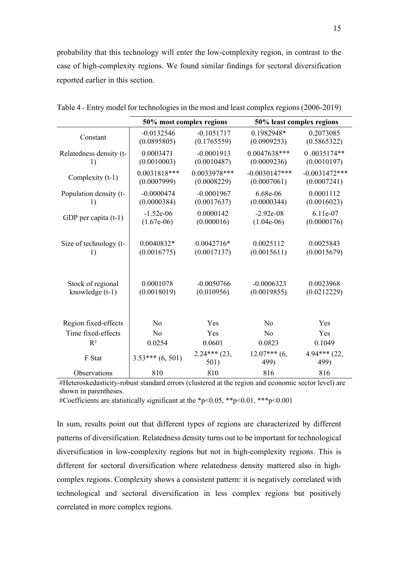probability that this technology will enter the low-complexity region, in contrast to the case of high-complexity regions. We found similar findings for sectoral diversification reported earlier in this section.

|                         | 50% most complex regions |                        | 50% least complex regions |                        |
|-------------------------|--------------------------|------------------------|---------------------------|------------------------|
| Constant                | $-0.0132546$             | $-0.1051717$           | 0.1982948*                | 0.2073085              |
|                         | (0.0895805)              | (0.1765559)            | (0.0909253)               | (0.5865322)            |
| Relatedness density (t- | 0.0003471                | $-0.0001913$           | $0.0047638***$            | 0.0035174**            |
| 1)                      | (0.0010003)              | (0.0010487)            | (0.0009236)               | (0.0010197)            |
| Complexity (t-1)        | $0.0031818***$           | 0.0033978***           | $-0.0030147***$           | $-0.0031472***$        |
|                         | (0.0007999)              | (0.0008229)            | (0.0007061)               | (0.0007241)            |
| Population density (t-  | $-0.0000474$             | $-0.0001967$           | 6.68e-06                  | 0.0001112              |
| 1)                      | (0.0000384)              | (0.0017637)            | (0.0000344)               | (0.0016023)            |
| GDP per capita $(t-1)$  | $-1.52e-06$              | 0.0000142              | $-2.92e-08$               | 6.11e-07               |
|                         | $(1.67e-06)$             | (0.000016)             | $(1.04e-06)$              | (0.0000176)            |
| Size of technology (t-  | 0.0040832*               | $0.0042716*$           | 0.0025112                 | 0.0025843              |
| 1)                      | (0.0016775)              | (0.0017137)            | (0.0015611)               | (0.0015679)            |
| Stock of regional       | 0.0001078                | $-0.0050766$           | $-0.0006323$              | 0.0023968              |
| knowledge $(t-1)$       | (0.0018019)              | (0.010956)             | (0.0019855)               | (0.0212229)            |
| Region fixed-effects    | No                       | Yes                    | No                        | Yes                    |
| Time fixed-effects      | No                       | Yes                    | No                        | Yes                    |
| $R^2$                   | 0.0254                   | 0.0601                 | 0.0823                    | 0.1049                 |
| F Stat                  | $3.53***(6,501)$         | $2.24***$ (23,<br>501) | $12.07***$ (6,<br>499)    | $4.94***$ (22,<br>499) |
| Observations            | 810                      | 810                    | 816                       | 816                    |

Table 4 - Entry model for technologies in the most and least complex regions (2006-2019)

j.

#Heteroskedasticity-robust standard errors (clustered at the region and economic sector level) are shown in parentheses.

#Coefficients are statistically significant at the \*p<0.05, \*\*p<0.01, \*\*\*p<0.001

In sum, results point out that different types of regions are characterized by different patterns of diversification. Relatedness density turns out to be important for technological diversification in low-complexity regions but not in high-complexity regions. This is different for sectoral diversification where relatedness density mattered also in highcomplex regions. Complexity shows a consistent pattern: it is negatively correlated with technological and sectoral diversification in less complex regions but positively correlated in more complex regions.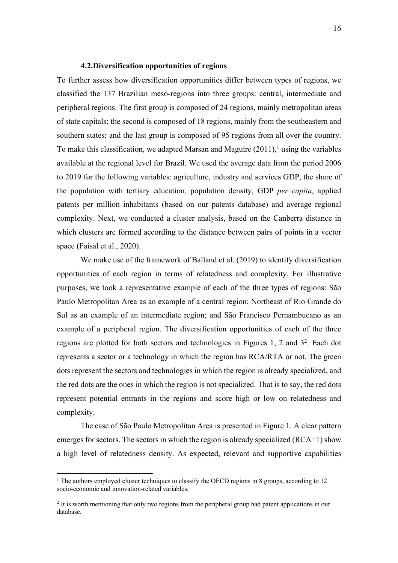## **4.2.Diversification opportunities of regions**

To further assess how diversification opportunities differ between types of regions, we classified the 137 Brazilian meso-regions into three groups: central, intermediate and peripheral regions. The first group is composed of 24 regions, mainly metropolitan areas of state capitals; the second is composed of 18 regions, mainly from the southeastern and southern states; and the last group is composed of 95 regions from all over the country. To make this classification, we adapted Marsan and Maguire  $(2011)$ , using the variables available at the regional level for Brazil. We used the average data from the period 2006 to 2019 for the following variables: agriculture, industry and services GDP, the share of the population with tertiary education, population density, GDP *per capita*, applied patents per million inhabitants (based on our patents database) and average regional complexity. Next, we conducted a cluster analysis, based on the Canberra distance in which clusters are formed according to the distance between pairs of points in a vector space (Faisal et al., 2020).

We make use of the framework of Balland et al. (2019) to identify diversification opportunities of each region in terms of relatedness and complexity. For illustrative purposes, we took a representative example of each of the three types of regions: São Paulo Metropolitan Area as an example of a central region; Northeast of Rio Grande do Sul as an example of an intermediate region; and São Francisco Pernambucano as an example of a peripheral region. The diversification opportunities of each of the three regions are plotted for both sectors and technologies in Figures 1, 2 and 32. Each dot represents a sector or a technology in which the region has RCA/RTA or not. The green dots represent the sectors and technologies in which the region is already specialized, and the red dots are the ones in which the region is not specialized. That is to say, the red dots represent potential entrants in the regions and score high or low on relatedness and complexity.

The case of São Paulo Metropolitan Area is presented in Figure 1. A clear pattern emerges for sectors. The sectors in which the region is already specialized (RCA=1) show a high level of relatedness density. As expected, relevant and supportive capabilities

 $1$ <sup>1</sup> The authors employed cluster techniques to classify the OECD regions in 8 groups, according to 12 socio-economic and innovation-related variables.

<sup>2</sup> It is worth mentioning that only two regions from the peripheral group had patent applications in our database.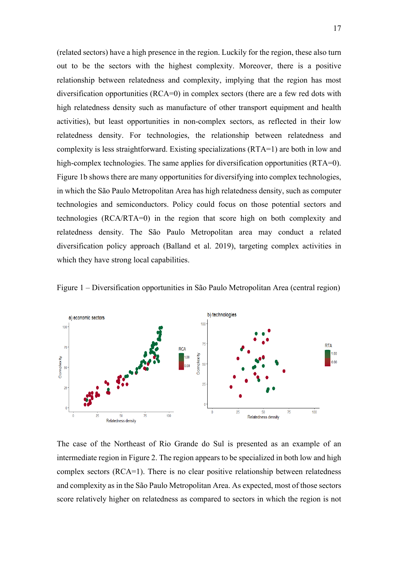(related sectors) have a high presence in the region. Luckily for the region, these also turn out to be the sectors with the highest complexity. Moreover, there is a positive relationship between relatedness and complexity, implying that the region has most diversification opportunities (RCA=0) in complex sectors (there are a few red dots with high relatedness density such as manufacture of other transport equipment and health activities), but least opportunities in non-complex sectors, as reflected in their low relatedness density. For technologies, the relationship between relatedness and complexity is less straightforward. Existing specializations (RTA=1) are both in low and high-complex technologies. The same applies for diversification opportunities (RTA=0). Figure 1b shows there are many opportunities for diversifying into complex technologies, in which the São Paulo Metropolitan Area has high relatedness density, such as computer technologies and semiconductors. Policy could focus on those potential sectors and technologies (RCA/RTA=0) in the region that score high on both complexity and relatedness density. The São Paulo Metropolitan area may conduct a related diversification policy approach (Balland et al. 2019), targeting complex activities in which they have strong local capabilities.





The case of the Northeast of Rio Grande do Sul is presented as an example of an intermediate region in Figure 2. The region appears to be specialized in both low and high complex sectors (RCA=1). There is no clear positive relationship between relatedness and complexity as in the São Paulo Metropolitan Area. As expected, most of those sectors score relatively higher on relatedness as compared to sectors in which the region is not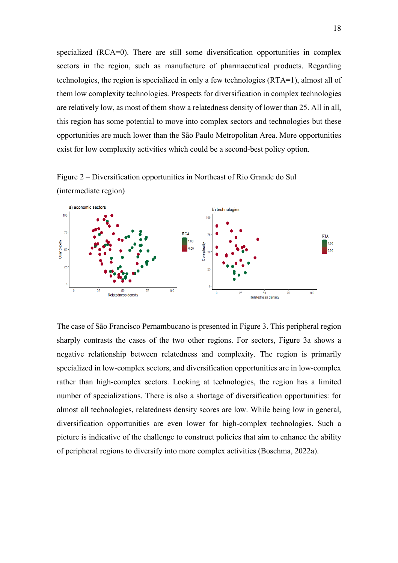specialized (RCA=0). There are still some diversification opportunities in complex sectors in the region, such as manufacture of pharmaceutical products. Regarding technologies, the region is specialized in only a few technologies (RTA=1), almost all of them low complexity technologies. Prospects for diversification in complex technologies are relatively low, as most of them show a relatedness density of lower than 25. All in all, this region has some potential to move into complex sectors and technologies but these opportunities are much lower than the São Paulo Metropolitan Area. More opportunities exist for low complexity activities which could be a second-best policy option.

Figure 2 – Diversification opportunities in Northeast of Rio Grande do Sul (intermediate region)



The case of São Francisco Pernambucano is presented in Figure 3. This peripheral region sharply contrasts the cases of the two other regions. For sectors, Figure 3a shows a negative relationship between relatedness and complexity. The region is primarily specialized in low-complex sectors, and diversification opportunities are in low-complex rather than high-complex sectors. Looking at technologies, the region has a limited number of specializations. There is also a shortage of diversification opportunities: for almost all technologies, relatedness density scores are low. While being low in general, diversification opportunities are even lower for high-complex technologies. Such a picture is indicative of the challenge to construct policies that aim to enhance the ability of peripheral regions to diversify into more complex activities (Boschma, 2022a).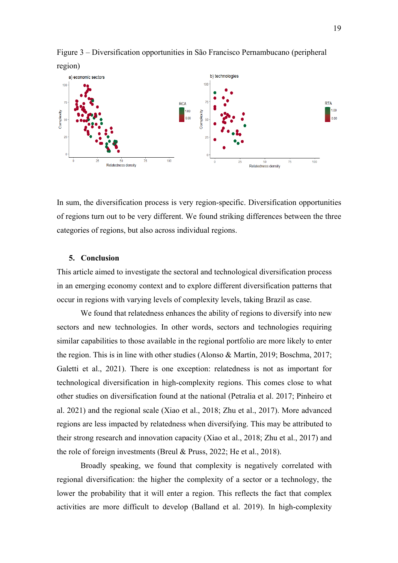

Figure 3 – Diversification opportunities in São Francisco Pernambucano (peripheral

In sum, the diversification process is very region-specific. Diversification opportunities of regions turn out to be very different. We found striking differences between the three categories of regions, but also across individual regions.

#### **5. Conclusion**

This article aimed to investigate the sectoral and technological diversification process in an emerging economy context and to explore different diversification patterns that occur in regions with varying levels of complexity levels, taking Brazil as case.

We found that relatedness enhances the ability of regions to diversify into new sectors and new technologies. In other words, sectors and technologies requiring similar capabilities to those available in the regional portfolio are more likely to enter the region. This is in line with other studies (Alonso & Martín, 2019; Boschma, 2017; Galetti et al., 2021). There is one exception: relatedness is not as important for technological diversification in high-complexity regions. This comes close to what other studies on diversification found at the national (Petralia et al. 2017; Pinheiro et al. 2021) and the regional scale (Xiao et al., 2018; Zhu et al., 2017). More advanced regions are less impacted by relatedness when diversifying. This may be attributed to their strong research and innovation capacity (Xiao et al., 2018; Zhu et al., 2017) and the role of foreign investments (Breul & Pruss, 2022; He et al., 2018).

Broadly speaking, we found that complexity is negatively correlated with regional diversification: the higher the complexity of a sector or a technology, the lower the probability that it will enter a region. This reflects the fact that complex activities are more difficult to develop (Balland et al. 2019). In high-complexity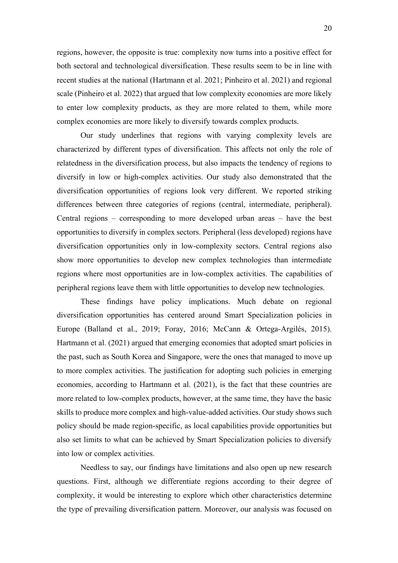regions, however, the opposite is true: complexity now turns into a positive effect for both sectoral and technological diversification. These results seem to be in line with recent studies at the national (Hartmann et al. 2021; Pinheiro et al. 2021) and regional scale (Pinheiro et al. 2022) that argued that low complexity economies are more likely to enter low complexity products, as they are more related to them, while more complex economies are more likely to diversify towards complex products.

Our study underlines that regions with varying complexity levels are characterized by different types of diversification. This affects not only the role of relatedness in the diversification process, but also impacts the tendency of regions to diversify in low or high-complex activities. Our study also demonstrated that the diversification opportunities of regions look very different. We reported striking differences between three categories of regions (central, intermediate, peripheral). Central regions – corresponding to more developed urban areas – have the best opportunities to diversify in complex sectors. Peripheral (less developed) regions have diversification opportunities only in low-complexity sectors. Central regions also show more opportunities to develop new complex technologies than intermediate regions where most opportunities are in low-complex activities. The capabilities of peripheral regions leave them with little opportunities to develop new technologies.

These findings have policy implications. Much debate on regional diversification opportunities has centered around Smart Specialization policies in Europe (Balland et al., 2019; Foray, 2016; McCann & Ortega-Argilés, 2015). Hartmann et al. (2021) argued that emerging economies that adopted smart policies in the past, such as South Korea and Singapore, were the ones that managed to move up to more complex activities. The justification for adopting such policies in emerging economies, according to Hartmann et al. (2021), is the fact that these countries are more related to low-complex products, however, at the same time, they have the basic skills to produce more complex and high-value-added activities. Our study shows such policy should be made region-specific, as local capabilities provide opportunities but also set limits to what can be achieved by Smart Specialization policies to diversify into low or complex activities.

Needless to say, our findings have limitations and also open up new research questions. First, although we differentiate regions according to their degree of complexity, it would be interesting to explore which other characteristics determine the type of prevailing diversification pattern. Moreover, our analysis was focused on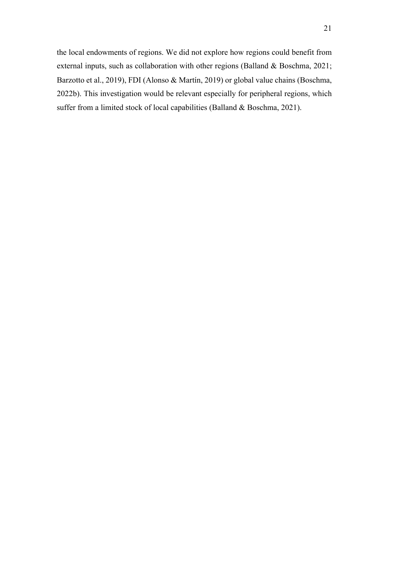the local endowments of regions. We did not explore how regions could benefit from external inputs, such as collaboration with other regions (Balland & Boschma, 2021; Barzotto et al., 2019), FDI (Alonso & Martín, 2019) or global value chains (Boschma, 2022b). This investigation would be relevant especially for peripheral regions, which suffer from a limited stock of local capabilities (Balland & Boschma, 2021).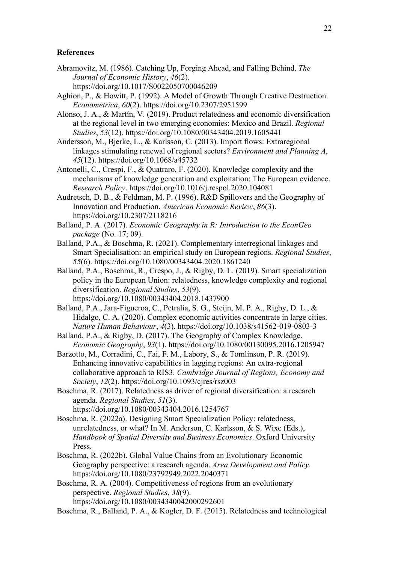# **References**

- Abramovitz, M. (1986). Catching Up, Forging Ahead, and Falling Behind. *The Journal of Economic History*, *46*(2).
	- https://doi.org/10.1017/S0022050700046209
- Aghion, P., & Howitt, P. (1992). A Model of Growth Through Creative Destruction. *Econometrica*, *60*(2). https://doi.org/10.2307/2951599
- Alonso, J. A., & Martín, V. (2019). Product relatedness and economic diversification at the regional level in two emerging economies: Mexico and Brazil. *Regional Studies*, *53*(12). https://doi.org/10.1080/00343404.2019.1605441
- Andersson, M., Bjerke, L., & Karlsson, C. (2013). Import flows: Extraregional linkages stimulating renewal of regional sectors? *Environment and Planning A*, *45*(12). https://doi.org/10.1068/a45732
- Antonelli, C., Crespi, F., & Quatraro, F. (2020). Knowledge complexity and the mechanisms of knowledge generation and exploitation: The European evidence. *Research Policy*. https://doi.org/10.1016/j.respol.2020.104081
- Audretsch, D. B., & Feldman, M. P. (1996). R&D Spillovers and the Geography of Innovation and Production. *American Economic Review*, *86*(3). https://doi.org/10.2307/2118216
- Balland, P. A. (2017). *Economic Geography in R: Introduction to the EconGeo package* (No. 17; 09).
- Balland, P.A., & Boschma, R. (2021). Complementary interregional linkages and Smart Specialisation: an empirical study on European regions. *Regional Studies*, *55*(6). https://doi.org/10.1080/00343404.2020.1861240
- Balland, P.A., Boschma, R., Crespo, J., & Rigby, D. L. (2019). Smart specialization policy in the European Union: relatedness, knowledge complexity and regional diversification. *Regional Studies*, *53*(9). https://doi.org/10.1080/00343404.2018.1437900
- Balland, P.A., Jara-Figueroa, C., Petralia, S. G., Steijn, M. P. A., Rigby, D. L., & Hidalgo, C. A. (2020). Complex economic activities concentrate in large cities. *Nature Human Behaviour*, *4*(3). https://doi.org/10.1038/s41562-019-0803-3
- Balland, P.A., & Rigby, D. (2017). The Geography of Complex Knowledge. *Economic Geography*, *93*(1). https://doi.org/10.1080/00130095.2016.1205947
- Barzotto, M., Corradini, C., Fai, F. M., Labory, S., & Tomlinson, P. R. (2019). Enhancing innovative capabilities in lagging regions: An extra-regional collaborative approach to RIS3. *Cambridge Journal of Regions, Economy and Society*, *12*(2). https://doi.org/10.1093/cjres/rsz003
- Boschma, R. (2017). Relatedness as driver of regional diversification: a research agenda. *Regional Studies*, *51*(3). https://doi.org/10.1080/00343404.2016.1254767
- Boschma, R. (2022a). Designing Smart Specialization Policy: relatedness, unrelatedness, or what? In M. Anderson, C. Karlsson, & S. Wixe (Eds.), *Handbook of Spatial Diversity and Business Economics*. Oxford University Press.
- Boschma, R. (2022b). Global Value Chains from an Evolutionary Economic Geography perspective: a research agenda. *Area Development and Policy*. https://doi.org/10.1080/23792949.2022.2040371
- Boschma, R. A. (2004). Competitiveness of regions from an evolutionary perspective. *Regional Studies*, *38*(9). https://doi.org/10.1080/0034340042000292601
- Boschma, R., Balland, P. A., & Kogler, D. F. (2015). Relatedness and technological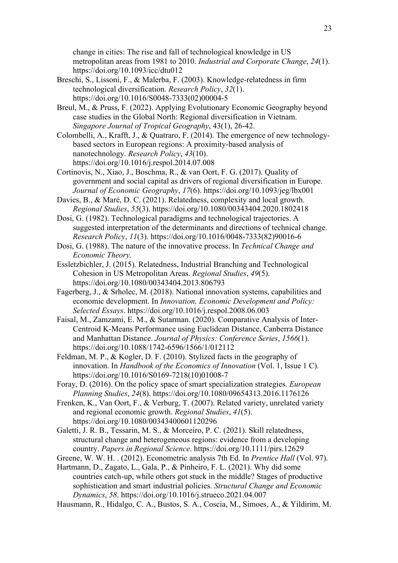change in cities: The rise and fall of technological knowledge in US metropolitan areas from 1981 to 2010. *Industrial and Corporate Change*, *24*(1). https://doi.org/10.1093/icc/dtu012

- Breschi, S., Lissoni, F., & Malerba, F. (2003). Knowledge-relatedness in firm technological diversification. *Research Policy*, *32*(1). https://doi.org/10.1016/S0048-7333(02)00004-5
- Breul, M., & Pruss, F. (2022). Applying Evolutionary Economic Geography beyond case studies in the Global North: Regional diversification in Vietnam. *Singapore Journal of Tropical Geography*, 43(1), 26-42.
- Colombelli, A., Krafft, J., & Quatraro, F. (2014). The emergence of new technologybased sectors in European regions: A proximity-based analysis of nanotechnology. *Research Policy*, *43*(10). https://doi.org/10.1016/j.respol.2014.07.008
- Cortinovis, N., Xiao, J., Boschma, R., & van Oort, F. G. (2017). Quality of government and social capital as drivers of regional diversification in Europe. *Journal of Economic Geography*, *17*(6). https://doi.org/10.1093/jeg/lbx001
- Davies, B., & Maré, D. C. (2021). Relatedness, complexity and local growth. *Regional Studies*, *55*(3). https://doi.org/10.1080/00343404.2020.1802418
- Dosi, G. (1982). Technological paradigms and technological trajectories. A suggested interpretation of the determinants and directions of technical change. *Research Policy*, *11*(3). https://doi.org/10.1016/0048-7333(82)90016-6
- Dosi, G. (1988). The nature of the innovative process. In *Technical Change and Economic Theory*.
- Essletzbichler, J. (2015). Relatedness, Industrial Branching and Technological Cohesion in US Metropolitan Areas. *Regional Studies*, *49*(5). https://doi.org/10.1080/00343404.2013.806793
- Fagerberg, J., & Srholec, M. (2018). National innovation systems, capabilities and economic development. In *Innovation, Economic Development and Policy: Selected Essays*. https://doi.org/10.1016/j.respol.2008.06.003
- Faisal, M., Zamzami, E. M., & Sutarman. (2020). Comparative Analysis of Inter-Centroid K-Means Performance using Euclidean Distance, Canberra Distance and Manhattan Distance. *Journal of Physics: Conference Series*, *1566*(1). https://doi.org/10.1088/1742-6596/1566/1/012112
- Feldman, M. P., & Kogler, D. F. (2010). Stylized facts in the geography of innovation. In *Handbook of the Economics of Innovation* (Vol. 1, Issue 1 C). https://doi.org/10.1016/S0169-7218(10)01008-7
- Foray, D. (2016). On the policy space of smart specialization strategies. *European Planning Studies*, *24*(8). https://doi.org/10.1080/09654313.2016.1176126
- Frenken, K., Van Oort, F., & Verburg, T. (2007). Related variety, unrelated variety and regional economic growth. *Regional Studies*, *41*(5). https://doi.org/10.1080/00343400601120296
- Galetti, J. R. B., Tessarin, M. S., & Morceiro, P. C. (2021). Skill relatedness, structural change and heterogeneous regions: evidence from a developing country. *Papers in Regional Science*. https://doi.org/10.1111/pirs.12629
- Greene, W. W. H. . (2012). Econometric analysis 7th Ed. In *Prentice Hall* (Vol. 97).
- Hartmann, D., Zagato, L., Gala, P., & Pinheiro, F. L. (2021). Why did some countries catch-up, while others got stuck in the middle? Stages of productive sophistication and smart industrial policies. *Structural Change and Economic Dynamics*, *58*. https://doi.org/10.1016/j.strueco.2021.04.007
- Hausmann, R., Hidalgo, C. A., Bustos, S. A., Coscia, M., Simoes, A., & Yildirim, M.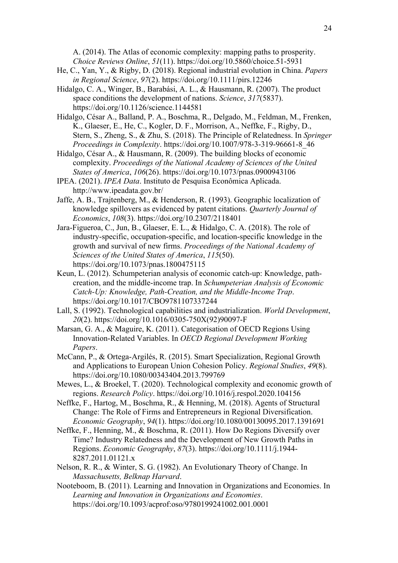A. (2014). The Atlas of economic complexity: mapping paths to prosperity. *Choice Reviews Online*, *51*(11). https://doi.org/10.5860/choice.51-5931

- He, C., Yan, Y., & Rigby, D. (2018). Regional industrial evolution in China. *Papers in Regional Science*, *97*(2). https://doi.org/10.1111/pirs.12246
- Hidalgo, C. A., Winger, B., Barabási, A. L., & Hausmann, R. (2007). The product space conditions the development of nations. *Science*, *317*(5837). https://doi.org/10.1126/science.1144581
- Hidalgo, César A., Balland, P. A., Boschma, R., Delgado, M., Feldman, M., Frenken, K., Glaeser, E., He, C., Kogler, D. F., Morrison, A., Neffke, F., Rigby, D., Stern, S., Zheng, S., & Zhu, S. (2018). The Principle of Relatedness. In *Springer Proceedings in Complexity*. https://doi.org/10.1007/978-3-319-96661-8\_46
- Hidalgo, César A., & Hausmann, R. (2009). The building blocks of economic complexity. *Proceedings of the National Academy of Sciences of the United States of America*, *106*(26). https://doi.org/10.1073/pnas.0900943106
- IPEA. (2021). *IPEA Data*. Instituto de Pesquisa Econômica Aplicada. http://www.ipeadata.gov.br/
- Jaffe, A. B., Trajtenberg, M., & Henderson, R. (1993). Geographic localization of knowledge spillovers as evidenced by patent citations. *Quarterly Journal of Economics*, *108*(3). https://doi.org/10.2307/2118401
- Jara-Figueroa, C., Jun, B., Glaeser, E. L., & Hidalgo, C. A. (2018). The role of industry-specific, occupation-specific, and location-specific knowledge in the growth and survival of new firms. *Proceedings of the National Academy of Sciences of the United States of America*, *115*(50). https://doi.org/10.1073/pnas.1800475115
- Keun, L. (2012). Schumpeterian analysis of economic catch-up: Knowledge, pathcreation, and the middle-income trap. In *Schumpeterian Analysis of Economic Catch-Up: Knowledge, Path-Creation, and the Middle-Income Trap*. https://doi.org/10.1017/CBO9781107337244
- Lall, S. (1992). Technological capabilities and industrialization. *World Development*, *20*(2). https://doi.org/10.1016/0305-750X(92)90097-F
- Marsan, G. A., & Maguire, K. (2011). Categorisation of OECD Regions Using Innovation-Related Variables. In *OECD Regional Development Working Papers*.
- McCann, P., & Ortega-Argilés, R. (2015). Smart Specialization, Regional Growth and Applications to European Union Cohesion Policy. *Regional Studies*, *49*(8). https://doi.org/10.1080/00343404.2013.799769
- Mewes, L., & Broekel, T. (2020). Technological complexity and economic growth of regions. *Research Policy*. https://doi.org/10.1016/j.respol.2020.104156
- Neffke, F., Hartog, M., Boschma, R., & Henning, M. (2018). Agents of Structural Change: The Role of Firms and Entrepreneurs in Regional Diversification. *Economic Geography*, *94*(1). https://doi.org/10.1080/00130095.2017.1391691
- Neffke, F., Henning, M., & Boschma, R. (2011). How Do Regions Diversify over Time? Industry Relatedness and the Development of New Growth Paths in Regions. *Economic Geography*, *87*(3). https://doi.org/10.1111/j.1944- 8287.2011.01121.x
- Nelson, R. R., & Winter, S. G. (1982). An Evolutionary Theory of Change. In *Massachusetts, Belknap Harvard*.
- Nooteboom, B. (2011). Learning and Innovation in Organizations and Economies. In *Learning and Innovation in Organizations and Economies*. https://doi.org/10.1093/acprof:oso/9780199241002.001.0001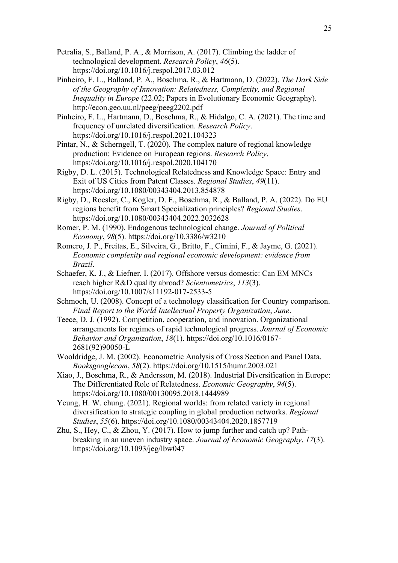- Petralia, S., Balland, P. A., & Morrison, A. (2017). Climbing the ladder of technological development. *Research Policy*, *46*(5). https://doi.org/10.1016/j.respol.2017.03.012
- Pinheiro, F. L., Balland, P. A., Boschma, R., & Hartmann, D. (2022). *The Dark Side of the Geography of Innovation: Relatedness, Complexity, and Regional Inequality in Europe* (22.02; Papers in Evolutionary Economic Geography). http://econ.geo.uu.nl/peeg/peeg2202.pdf
- Pinheiro, F. L., Hartmann, D., Boschma, R., & Hidalgo, C. A. (2021). The time and frequency of unrelated diversification. *Research Policy*. https://doi.org/10.1016/j.respol.2021.104323
- Pintar, N., & Scherngell, T. (2020). The complex nature of regional knowledge production: Evidence on European regions. *Research Policy*. https://doi.org/10.1016/j.respol.2020.104170
- Rigby, D. L. (2015). Technological Relatedness and Knowledge Space: Entry and Exit of US Cities from Patent Classes. *Regional Studies*, *49*(11). https://doi.org/10.1080/00343404.2013.854878
- Rigby, D., Roesler, C., Kogler, D. F., Boschma, R., & Balland, P. A. (2022). Do EU regions benefit from Smart Specialization principles? *Regional Studies*. https://doi.org/10.1080/00343404.2022.2032628
- Romer, P. M. (1990). Endogenous technological change. *Journal of Political Economy*, *98*(5). https://doi.org/10.3386/w3210
- Romero, J. P., Freitas, E., Silveira, G., Britto, F., Cimini, F., & Jayme, G. (2021). *Economic complexity and regional economic development: evidence from Brazil*.
- Schaefer, K. J., & Liefner, I. (2017). Offshore versus domestic: Can EM MNCs reach higher R&D quality abroad? *Scientometrics*, *113*(3). https://doi.org/10.1007/s11192-017-2533-5
- Schmoch, U. (2008). Concept of a technology classification for Country comparison. *Final Report to the World Intellectual Property Organization*, *June*.
- Teece, D. J. (1992). Competition, cooperation, and innovation. Organizational arrangements for regimes of rapid technological progress. *Journal of Economic Behavior and Organization*, *18*(1). https://doi.org/10.1016/0167- 2681(92)90050-L
- Wooldridge, J. M. (2002). Econometric Analysis of Cross Section and Panel Data. *Booksgooglecom*, *58*(2). https://doi.org/10.1515/humr.2003.021
- Xiao, J., Boschma, R., & Andersson, M. (2018). Industrial Diversification in Europe: The Differentiated Role of Relatedness. *Economic Geography*, *94*(5). https://doi.org/10.1080/00130095.2018.1444989
- Yeung, H. W. chung. (2021). Regional worlds: from related variety in regional diversification to strategic coupling in global production networks. *Regional Studies*, *55*(6). https://doi.org/10.1080/00343404.2020.1857719
- Zhu, S., Hey, C., & Zhou, Y. (2017). How to jump further and catch up? Pathbreaking in an uneven industry space. *Journal of Economic Geography*, *17*(3). https://doi.org/10.1093/jeg/lbw047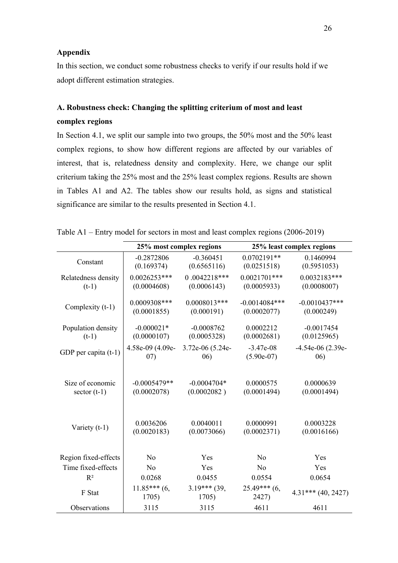# **Appendix**

In this section, we conduct some robustness checks to verify if our results hold if we adopt different estimation strategies.

# **A. Robustness check: Changing the splitting criterium of most and least complex regions**

In Section 4.1, we split our sample into two groups, the 50% most and the 50% least complex regions, to show how different regions are affected by our variables of interest, that is, relatedness density and complexity. Here, we change our split criterium taking the 25% most and the 25% least complex regions. Results are shown in Tables A1 and A2. The tables show our results hold, as signs and statistical significance are similar to the results presented in Section 4.1.

|                        |                         | 25% most complex regions | 25% least complex regions |                      |
|------------------------|-------------------------|--------------------------|---------------------------|----------------------|
| Constant               | $-0.2872806$            | $-0.360451$              | $0.0702191**$             | 0.1460994            |
|                        | (0.169374)              | (0.6565116)              | (0.0251518)               | (0.5951053)          |
| Relatedness density    | $0.0026253***$          | $0.0042218***$           | $0.0021701***$            | $0.0032183***$       |
| $(t-1)$                | (0.0004608)             | (0.0006143)              | (0.0005933)               | (0.0008007)          |
| Complexity (t-1)       | 0.0009308***            | $0.0008013***$           | $-0.0014084***$           | $-0.0010437***$      |
|                        | (0.0001855)             | (0.000191)               | (0.0002077)               | (0.000249)           |
| Population density     | $-0.000021*$            | $-0.0008762$             | 0.0002212                 | $-0.0017454$         |
| $(t-1)$                | (0.0000107)             | (0.0005328)              | (0.0002681)               | (0.0125965)          |
| GDP per capita $(t-1)$ | 4.58e-09 (4.09e-        | 3.72e-06 (5.24e-         | $-3.47e-08$               | $-4.54e-06$ (2.39e-  |
|                        | (07)                    | (06)                     | $(5.90e-07)$              | 06)                  |
| Size of economic       | $-0.0005479**$          | $-0.0004704*$            | 0.0000575                 | 0.0000639            |
| sector $(t-1)$         | (0.0002078)             | (0.0002082)              | (0.0001494)               | (0.0001494)          |
| Variety $(t-1)$        | 0.0036206               | 0.0040011                | 0.0000991                 | 0.0003228            |
|                        | (0.0020183)             | (0.0073066)              | (0.0002371)               | (0.0016166)          |
| Region fixed-effects   | N <sub>o</sub>          | Yes                      | N <sub>o</sub>            | Yes                  |
| Time fixed-effects     | No                      | Yes                      | N <sub>o</sub>            | Yes                  |
| $R^2$                  | 0.0268                  | 0.0455                   | 0.0554                    | 0.0654               |
| F Stat                 | $11.85***$ (6,<br>1705) | $3.19***$ (39,<br>1705)  | $25.49***$ (6,<br>2427)   | $4.31***$ (40, 2427) |
| Observations           | 3115                    | 3115                     | 4611                      | 4611                 |

Table A1 – Entry model for sectors in most and least complex regions (2006-2019)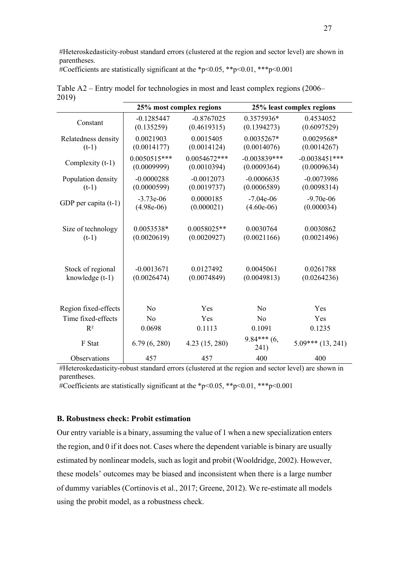#Heteroskedasticity-robust standard errors (clustered at the region and sector level) are shown in parentheses.

#Coefficients are statistically significant at the \*p<0.05, \*\*p<0.01, \*\*\*p<0.001

|                        | 25% most complex regions |                | 25% least complex regions |                     |
|------------------------|--------------------------|----------------|---------------------------|---------------------|
| Constant               | $-0.1285447$             | $-0.8767025$   | 0.3575936*                | 0.4534052           |
|                        | (0.135259)               | (0.4619315)    | (0.1394273)               | (0.6097529)         |
| Relatedness density    | 0.0021903                | 0.0015405      | $0.0035267*$              | 0.0029568*          |
| $(t-1)$                | (0.0014177)              | (0.0014124)    | (0.0014076)               | (0.0014267)         |
| Complexity (t-1)       | $0.0050515***$           | $0.0054672***$ | $-0.003839***$            | $-0.0038451$ ***    |
|                        | (0.0009999)              | (0.0010394)    | (0.0009364)               | (0.0009634)         |
| Population density     | $-0.0000288$             | $-0.0012073$   | $-0.0006635$              | $-0.0073986$        |
| $(t-1)$                | (0.0000599)              | (0.0019737)    | (0.0006589)               | (0.0098314)         |
| GDP per capita $(t-1)$ | $-3.73e-06$              | 0.0000185      | $-7.04e-06$               | $-9.70e-06$         |
|                        | $(4.98e-06)$             | (0.000021)     | $(4.60e-06)$              | (0.000034)          |
| Size of technology     | 0.0053538*               | $0.0058025**$  | 0.0030764                 | 0.0030862           |
| $(t-1)$                | (0.0020619)              | (0.0020927)    | (0.0021166)               | (0.0021496)         |
| Stock of regional      | $-0.0013671$             | 0.0127492      | 0.0045061                 | 0.0261788           |
| knowledge $(t-1)$      | (0.0026474)              | (0.0074849)    | (0.0049813)               | (0.0264236)         |
| Region fixed-effects   | N <sub>o</sub>           | Yes            | N <sub>o</sub>            | Yes                 |
| Time fixed-effects     | No                       | Yes            | No                        | Yes                 |
| $R^2$                  | 0.0698                   | 0.1113         | 0.1091                    | 0.1235              |
| F Stat                 | 6.79(6, 280)             | 4.23 (15, 280) | $9.84***$ (6,<br>241)     | $5.09***$ (13, 241) |
| Observations           | 457                      | 457            | 400                       | 400                 |

Table A2 – Entry model for technologies in most and least complex regions (2006– 2019)

#Heteroskedasticity-robust standard errors (clustered at the region and sector level) are shown in parentheses.

#Coefficients are statistically significant at the \*p<0.05, \*\*p<0.01, \*\*\*p<0.001

## **B. Robustness check: Probit estimation**

Our entry variable is a binary, assuming the value of 1 when a new specialization enters the region, and 0 if it does not. Cases where the dependent variable is binary are usually estimated by nonlinear models, such as logit and probit (Wooldridge, 2002). However, these models' outcomes may be biased and inconsistent when there is a large number of dummy variables (Cortinovis et al., 2017; Greene, 2012). We re-estimate all models using the probit model, as a robustness check.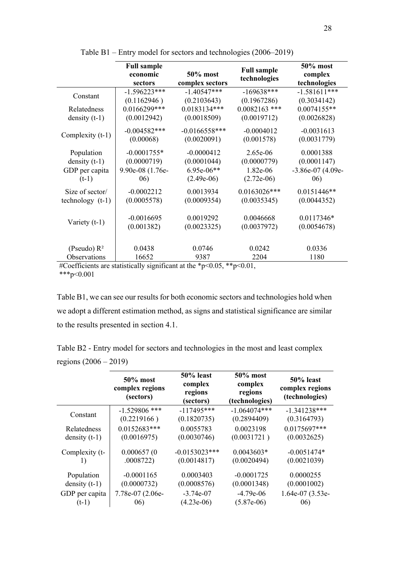|                        | <b>Full sample</b> |                 |                                    | 50% most          |
|------------------------|--------------------|-----------------|------------------------------------|-------------------|
|                        | economic           | 50% most        | <b>Full sample</b><br>technologies | complex           |
|                        | sectors            | complex sectors |                                    | technologies      |
| Constant               | $-1.596223***$     | $-1.40547***$   | $-169638***$                       | $-1.581611***$    |
|                        | (0.1162946)        | (0.2103643)     | (0.1967286)                        | (0.3034142)       |
| Relatedness            | 0.0166299***       | $0.0183134***$  | $0.0082163$ ***                    | $0.0074155**$     |
| density $(t-1)$        | (0.0012942)        | (0.0018509)     | (0.0019712)                        | (0.0026828)       |
|                        | $-0.004582***$     | $-0.0166558***$ | $-0.0004012$                       | $-0.0031613$      |
| Complexity (t-1)       | (0.00068)          | (0.0020091)     | (0.001578)                         | (0.0031779)       |
| Population             | $-0.0001755*$      | $-0.0000412$    | 2.65e-06                           | 0.0001388         |
| density $(t-1)$        | (0.0000719)        | (0.0001044)     | (0.0000779)                        | (0.0001147)       |
| GDP per capita         | 9.90e-08 (1.76e-   | $6.95e-06**$    | 1.82e-06                           | -3.86e-07 (4.09e- |
| $(t-1)$                | 06)                | $(2.49e-06)$    | $(2.72e-06)$                       | 06)               |
| Size of sector/        | $-0.0002212$       | 0.0013934       | $0.0163026***$                     | $0.0151446**$     |
| $technology$ ( $t-1$ ) | (0.0005578)        | (0.0009354)     | (0.0035345)                        | (0.0044352)       |
|                        | $-0.0016695$       | 0.0019292       | 0.0046668                          | $0.0117346*$      |
| Variety (t-1)          | (0.001382)         | (0.0023325)     | (0.0037972)                        | (0.0054678)       |
|                        |                    |                 |                                    |                   |
| (Pseudo) $R^2$         | 0.0438             | 0.0746          | 0.0242                             | 0.0336            |
| Observations           | 16652              | 9387            | 2204                               | 1180              |
|                        |                    |                 |                                    |                   |

Table B1 – Entry model for sectors and technologies (2006–2019)

#Coefficients are statistically significant at the \*p<0.05, \*\*p<0.01, \*\*\*p< $0.001$ 

Table B1, we can see our results for both economic sectors and technologies hold when we adopt a different estimation method, as signs and statistical significance are similar to the results presented in section 4.1.

Table B2 - Entry model for sectors and technologies in the most and least complex regions (2006 – 2019)

|                 | $50\%$ most<br>complex regions<br>(sectors) | 50% least<br>complex<br>regions<br>(sectors) | 50% most<br>complex<br>regions<br>(technologies) | 50% least<br>complex regions<br>(technologies) |
|-----------------|---------------------------------------------|----------------------------------------------|--------------------------------------------------|------------------------------------------------|
| Constant        | $-1.529806$ ***                             | $-117495***$                                 | $-1.064074***$                                   | $-1.341238***$                                 |
|                 | (0.2219166)                                 | (0.1820735)                                  | (0.2894409)                                      | (0.3164793)                                    |
| Relatedness     | $0.0152683***$                              | 0.0055783                                    | 0.0023198                                        | 0.0175697***                                   |
| density $(t-1)$ | (0.0016975)                                 | (0.0030746)                                  | (0.0031721)                                      | (0.0032625)                                    |
| Complexity (t-  | 0.000657(0                                  | $-0.0153023***$                              | $0.0043603*$                                     | $-0.0051474*$                                  |
| 1)              | .0008722)                                   | (0.0014817)                                  | (0.0020494)                                      | (0.0021039)                                    |
| Population      | $-0.0001165$                                | 0.0003403                                    | $-0.0001725$                                     | 0.0000255                                      |
| density $(t-1)$ | (0.0000732)                                 | (0.0008576)                                  | (0.0001348)                                      | (0.0001002)                                    |
| GDP per capita  | 7.78e-07 (2.06e-                            | $-3.74e-07$                                  | $-4.79e-06$                                      | 1.64e-07 (3.53e-                               |
| $(t-1)$         | 06)                                         | $(4.23e-06)$                                 | $(5.87e-06)$                                     | 06)                                            |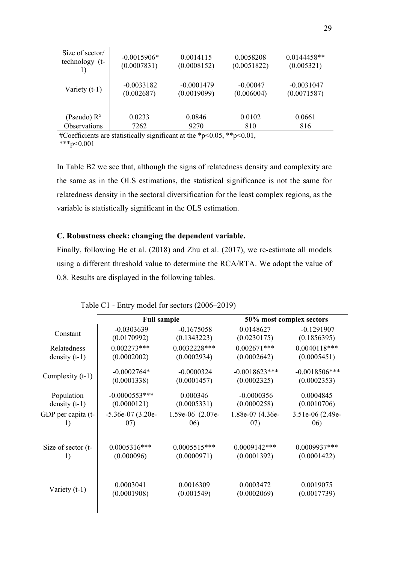| Size of sector/                  | $-0.0015906*$                            | 0.0014115                        | 0.0058208                  | $0.0144458**$ |
|----------------------------------|------------------------------------------|----------------------------------|----------------------------|---------------|
| technology (t-                   | (0.0007831)                              | (0.0008152)                      | (0.0051822)                | (0.005321)    |
| Variety $(t-1)$                  | $-0.0033182$                             | $-0.0001479$                     | $-0.00047$                 | $-0.0031047$  |
|                                  | (0.002687)                               | (0.0019099)                      | (0.006004)                 | (0.0071587)   |
| (Pseudo) $R^2$                   | 0.0233                                   | 0.0846                           | 0.0102                     | 0.0661        |
| Observations                     | 7262                                     | 9270                             | 810                        | 816           |
| $\mathbb{R}^n$ or $\mathbb{R}^n$ | $\cdot$ $\sim$<br>$\ldots$ . $\ldots$ 11 | $\cdots$ $1 - \cdots - \cdots -$ | مله مله<br>$\sim$ $\sim$ 1 |               |

#Coefficients are statistically significant at the \*p<0.05, \*\*p<0.01,

 $***p<0.001$ 

In Table B2 we see that, although the signs of relatedness density and complexity are the same as in the OLS estimations, the statistical significance is not the same for relatedness density in the sectoral diversification for the least complex regions, as the variable is statistically significant in the OLS estimation.

# **C. Robustness check: changing the dependent variable.**

Finally, following He et al. (2018) and Zhu et al. (2017), we re-estimate all models using a different threshold value to determine the RCA/RTA. We adopt the value of 0.8. Results are displayed in the following tables.

|                    | <b>Full sample</b> |                  |                  | 50% most complex sectors |  |
|--------------------|--------------------|------------------|------------------|--------------------------|--|
| Constant           | $-0.0303639$       | $-0.1675058$     | 0.0148627        | $-0.1291907$             |  |
|                    | (0.0170992)        | (0.1343223)      | (0.0230175)      | (0.1856395)              |  |
| Relatedness        | $0.002273***$      | $0.0032228***$   | $0.002671***$    | $0.0040118***$           |  |
| density $(t-1)$    | (0.0002002)        | (0.0002934)      | (0.0002642)      | (0.0005451)              |  |
| Complexity (t-1)   | $-0.0002764*$      | $-0.0000324$     | $-0.0018623$ *** | $-0.0018506$ ***         |  |
|                    | (0.0001338)        | (0.0001457)      | (0.0002325)      | (0.0002353)              |  |
| Population         | $-0.0000553***$    | 0.000346         | $-0.0000356$     | 0.0004845                |  |
| density $(t-1)$    | (0.0000121)        | (0.0005331)      | (0.0000258)      | (0.0010706)              |  |
| GDP per capita (t- | $-5.36e-07(3.20e-$ | 1.59e-06 (2.07e- | 1.88e-07 (4.36e- | 3.51e-06 (2.49e-         |  |
| 1)                 | 07)                | 06)              | 07)              | 06)                      |  |
| Size of sector (t- | $0.0005316***$     | $0.0005515***$   | $0.0009142***$   | $0.0009937***$           |  |
| 1)                 | (0.000096)         | (0.0000971)      | (0.0001392)      | (0.0001422)              |  |
| Variety $(t-1)$    | 0.0003041          | 0.0016309        | 0.0003472        | 0.0019075                |  |
|                    | (0.0001908)        | (0.001549)       | (0.0002069)      | (0.0017739)              |  |

Table C1 - Entry model for sectors (2006–2019)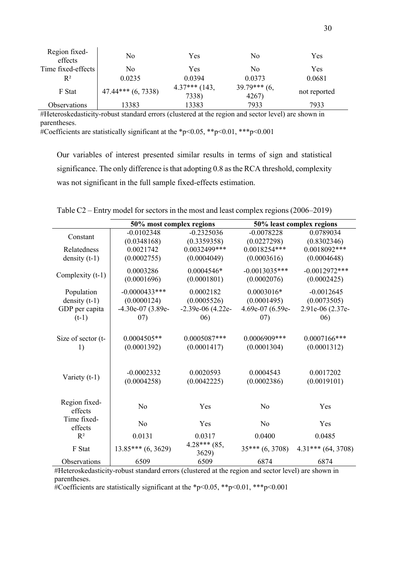| Region fixed-<br>effects | No                     | Yes                      | No                      | Yes          |
|--------------------------|------------------------|--------------------------|-------------------------|--------------|
| Time fixed-effects       | No                     | Yes                      | No                      | Yes          |
| $R^2$                    | 0.0235                 | 0.0394                   | 0.0373                  | 0.0681       |
| F Stat                   | $47.44***$ $(6, 7338)$ | $4.37***$ (143,<br>7338) | $39.79***$ (6,<br>4267) | not reported |
| Observations             | 13383                  | 13383                    | 7933                    | 7933         |

#Heteroskedasticity-robust standard errors (clustered at the region and sector level) are shown in parentheses.

#Coefficients are statistically significant at the \*p<0.05, \*\*p<0.01, \*\*\*p<0.001

Our variables of interest presented similar results in terms of sign and statistical significance. The only difference is that adopting 0.8 as the RCA threshold, complexity was not significant in the full sample fixed-effects estimation.

|                    | 50% most complex regions |                         | 50% least complex regions |                      |
|--------------------|--------------------------|-------------------------|---------------------------|----------------------|
| Constant           | $-0.0102348$             | $-0.2325036$            | $-0.0078228$              | 0.0789034            |
|                    | (0.0348168)              | (0.3359358)             | (0.0227298)               | (0.8302346)          |
| Relatedness        | 0.0021742                | 0.0032499***            | $0.0018254***$            | $0.0018092***$       |
| density $(t-1)$    | (0.0002755)              | (0.0004049)             | (0.0003616)               | (0.0004648)          |
| Complexity (t-1)   | 0.0003286                | $0.0004546*$            | $-0.0013035***$           | $-0.0012972***$      |
|                    | (0.0001696)              | (0.0001801)             | (0.0002076)               | (0.0002425)          |
| Population         | $-0.0000433***$          | 0.0002182               | $0.0003016*$              | $-0.0012645$         |
| density $(t-1)$    | (0.0000124)              | (0.0005526)             | (0.0001495)               | (0.0073505)          |
| GDP per capita     | $-4.30e-07(3.89e-$       | $-2.39e-06$ (4.22e-     | 4.69e-07 (6.59e-          | 2.91e-06 (2.37e-     |
| $(t-1)$            | (07)                     | 06)                     | (07)                      | 06)                  |
|                    |                          |                         |                           |                      |
| Size of sector (t- | $0.0004505**$            | $0.0005087***$          | $0.0006909***$            | $0.0007166$ ***      |
| 1)                 | (0.0001392)              | (0.0001417)             | (0.0001304)               | (0.0001312)          |
|                    |                          |                         |                           |                      |
| Variety $(t-1)$    | $-0.0002332$             | 0.0020593               | 0.0004543                 | 0.0017202            |
|                    | (0.0004258)              | (0.0042225)             | (0.0002386)               | (0.0019101)          |
|                    |                          |                         |                           |                      |
| Region fixed-      | No                       | Yes                     | N <sub>o</sub>            | Yes                  |
| effects            |                          |                         |                           |                      |
| Time fixed-        | No                       | Yes                     | N <sub>o</sub>            | Yes                  |
| effects            |                          |                         |                           |                      |
| $R^2$              | 0.0131                   | 0.0317                  | 0.0400                    | 0.0485               |
| F Stat             | $13.85***(6, 3629)$      | $4.28***$ (85,<br>3629) | $35***(6,3708)$           | $4.31***$ (64, 3708) |
| Observations       | 6509                     | 6509                    | 6874                      | 6874                 |

Table C2 – Entry model for sectors in the most and least complex regions (2006–2019)

#Heteroskedasticity-robust standard errors (clustered at the region and sector level) are shown in parentheses.

#Coefficients are statistically significant at the \*p<0.05, \*\*p<0.01, \*\*\*p<0.001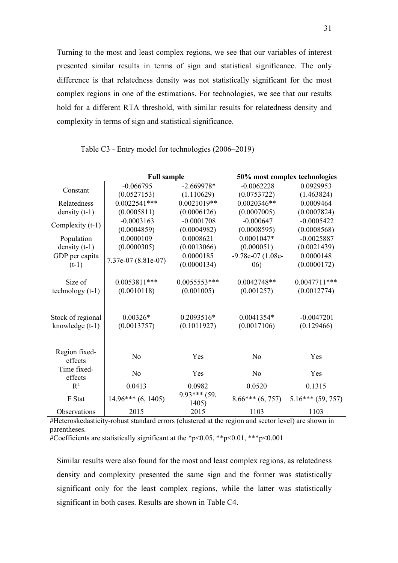Turning to the most and least complex regions, we see that our variables of interest presented similar results in terms of sign and statistical significance. The only difference is that relatedness density was not statistically significant for the most complex regions in one of the estimations. For technologies, we see that our results hold for a different RTA threshold, with similar results for relatedness density and complexity in terms of sign and statistical significance.

|                          | <b>Full sample</b>   |                         | 50% most complex technologies |                    |
|--------------------------|----------------------|-------------------------|-------------------------------|--------------------|
|                          | $-0.066795$          | $-2.669978*$            | $-0.0062228$                  | 0.0929953          |
| Constant                 | (0.0527153)          | (1.110629)              | (0.0753722)                   | (1.463824)         |
| Relatedness              | $0.0022541***$       | $0.0021019**$           | $0.0020346**$                 | 0.0009464          |
| density $(t-1)$          | (0.0005811)          | (0.0006126)             | (0.0007005)                   | (0.0007824)        |
| Complexity (t-1)         | $-0.0003163$         | $-0.0001708$            | $-0.000647$                   | $-0.0005422$       |
|                          | (0.0004859)          | (0.0004982)             | (0.0008595)                   | (0.0008568)        |
| Population               | 0.0000109            | 0.0008621               | $0.0001047*$                  | $-0.0025887$       |
| density $(t-1)$          | (0.0000305)          | (0.0013066)             | (0.000051)                    | (0.0021439)        |
| GDP per capita           | 7.37e-07 (8.81e-07)  | 0.0000185               | -9.78e-07 (1.08e-             | 0.0000148          |
| $(t-1)$                  |                      | (0.0000134)             | (06)                          | (0.0000172)        |
|                          |                      |                         |                               |                    |
| Size of                  | $0.0053811***$       | $0.0055553***$          | $0.0042748**$                 | $0.0047711$ ***    |
| $technology(t-1)$        | (0.0010118)          | (0.001005)              | (0.001257)                    | (0.0012774)        |
| Stock of regional        | $0.00326*$           | $0.2093516*$            | 0.0041354*                    | $-0.0047201$       |
| knowledge $(t-1)$        | (0.0013757)          | (0.1011927)             | (0.0017106)                   | (0.129466)         |
|                          |                      |                         |                               |                    |
| Region fixed-<br>effects | No                   | Yes                     | N <sub>o</sub>                | Yes                |
| Time fixed-<br>effects   | No                   | Yes                     | No                            | Yes                |
| $R^2$                    | 0.0413               | 0.0982                  | 0.0520                        | 0.1315             |
| F Stat                   | $14.96***$ (6, 1405) | $9.93***$ (59,<br>1405) | $8.66***(6, 757)$             | $5.16***(59, 757)$ |
| Observations             | 2015                 | 2015                    | 1103                          | 1103               |

Table C3 - Entry model for technologies (2006–2019)

#Heteroskedasticity-robust standard errors (clustered at the region and sector level) are shown in parentheses.

#Coefficients are statistically significant at the \*p<0.05, \*\*p<0.01, \*\*\*p<0.001

Similar results were also found for the most and least complex regions, as relatedness density and complexity presented the same sign and the former was statistically significant only for the least complex regions, while the latter was statistically significant in both cases. Results are shown in Table C4.